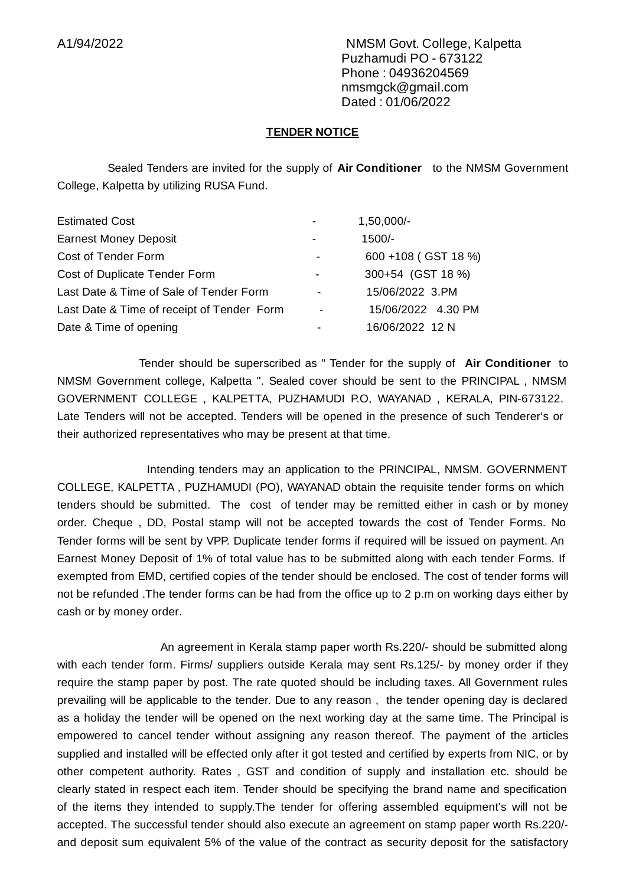A1/94/2022 NMSM Govt. College, Kalpetta Puzhamudi PO - 673122 Phone : 04936204569 nmsmgck@gmail.com Dated : 01/06/2022

## **TENDER NOTICE**

Sealed Tenders are invited for the supply of **Air Conditioner** to the NMSM Government College, Kalpetta by utilizing RUSA Fund.

| <b>Estimated Cost</b>                      |                          | 1,50,000/-          |
|--------------------------------------------|--------------------------|---------------------|
| <b>Earnest Money Deposit</b>               |                          | 1500/-              |
| Cost of Tender Form                        |                          | 600 +108 (GST 18 %) |
| Cost of Duplicate Tender Form              |                          | 300+54 (GST 18 %)   |
| Last Date & Time of Sale of Tender Form    | -                        | 15/06/2022 3.PM     |
| Last Date & Time of receipt of Tender Form | $\overline{\phantom{a}}$ | 15/06/2022 4.30 PM  |
| Date & Time of opening                     |                          | 16/06/2022 12 N     |

Tender should be superscribed as " Tender for the supply of **Air Conditioner** to NMSM Government college, Kalpetta ". Sealed cover should be sent to the PRINCIPAL , NMSM GOVERNMENT COLLEGE , KALPETTA, PUZHAMUDI P.O, WAYANAD , KERALA, PIN-673122. Late Tenders will not be accepted. Tenders will be opened in the presence of such Tenderer's or their authorized representatives who may be present at that time.

Intending tenders may an application to the PRINCIPAL, NMSM. GOVERNMENT COLLEGE, KALPETTA , PUZHAMUDI (PO), WAYANAD obtain the requisite tender forms on which tenders should be submitted. The cost of tender may be remitted either in cash or by money order. Cheque , DD, Postal stamp will not be accepted towards the cost of Tender Forms. No Tender forms will be sent by VPP. Duplicate tender forms if required will be issued on payment. An Earnest Money Deposit of 1% of total value has to be submitted along with each tender Forms. If exempted from EMD, certified copies of the tender should be enclosed. The cost of tender forms will not be refunded .The tender forms can be had from the office up to 2 p.m on working days either by cash or by money order.

An agreement in Kerala stamp paper worth Rs.220/- should be submitted along with each tender form. Firms/ suppliers outside Kerala may sent Rs.125/- by money order if they require the stamp paper by post. The rate quoted should be including taxes. All Government rules prevailing will be applicable to the tender. Due to any reason , the tender opening day is declared as a holiday the tender will be opened on the next working day at the same time. The Principal is empowered to cancel tender without assigning any reason thereof. The payment of the articles supplied and installed will be effected only after it got tested and certified by experts from NIC, or by other competent authority. Rates , GST and condition of supply and installation etc. should be clearly stated in respect each item. Tender should be specifying the brand name and specification of the items they intended to supply.The tender for offering assembled equipment's will not be accepted. The successful tender should also execute an agreement on stamp paper worth Rs.220/ and deposit sum equivalent 5% of the value of the contract as security deposit for the satisfactory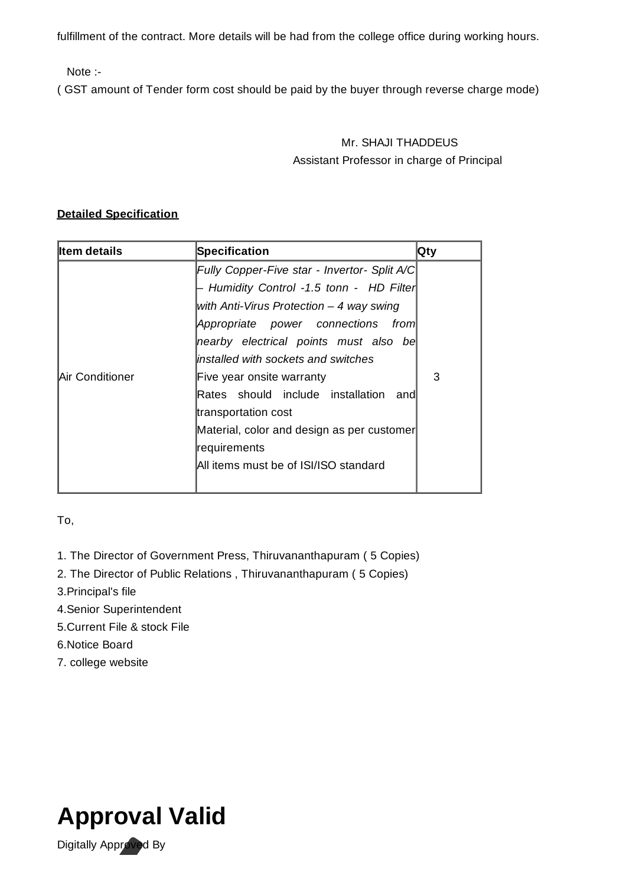fulfillment of the contract. More details will be had from the college office during working hours.

Note :-

( GST amount of Tender form cost should be paid by the buyer through reverse charge mode)

## Mr. SHAJI THADDEUS Assistant Professor in charge of Principal

## **Detailed Specification**

| ∥tem details    | Specification                                | Qty |
|-----------------|----------------------------------------------|-----|
|                 | Fully Copper-Five star - Invertor- Split A/C |     |
|                 | - Humidity Control -1.5 tonn - HD Filter     |     |
|                 | with Anti-Virus Protection $-$ 4 way swing   |     |
|                 | Appropriate power connections from           |     |
|                 | nearby electrical points must also be        |     |
|                 | linstalled with sockets and switches         |     |
| Air Conditioner | Five year onsite warranty                    | 3   |
|                 | Rates should include installation<br>and     |     |
|                 | transportation cost                          |     |
|                 | Material, color and design as per customer   |     |
|                 | requirements                                 |     |
|                 | All items must be of ISI/ISO standard        |     |
|                 |                                              |     |

To,

- 1. The Director of Government Press, Thiruvananthapuram ( 5 Copies)
- 2. The Director of Public Relations , Thiruvananthapuram ( 5 Copies)
- 3.Principal's file
- 4.Senior Superintendent
- 5.Current File & stock File
- 6.Notice Board
- 7. college website



Digitally Approved By